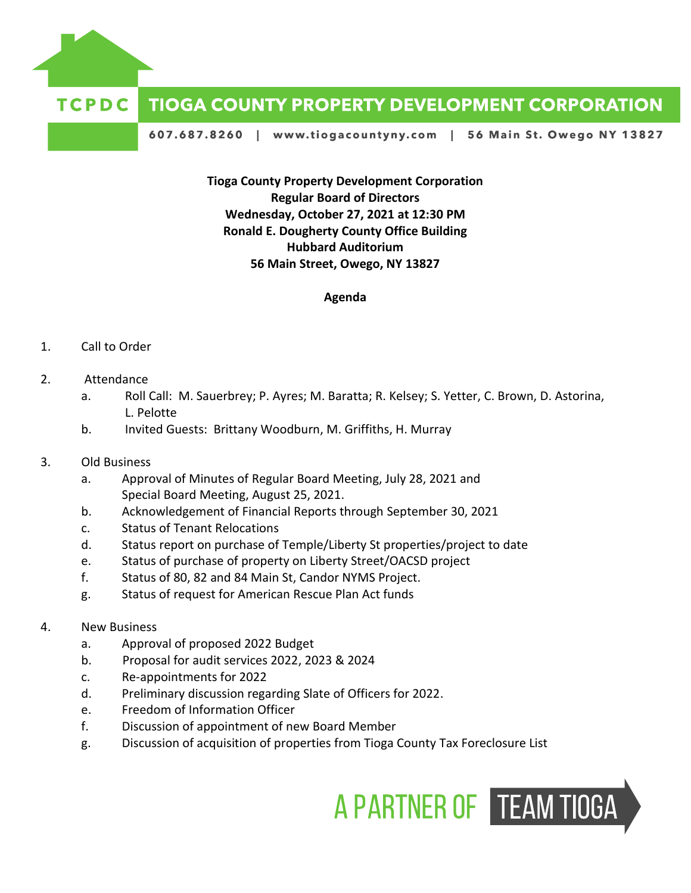

## **TCPDC TIOGA COUNTY PROPERTY DEVELOPMENT CORPORATION**

607.687.8260 | www.tiogacountyny.com | 56 Main St. Owego NY 13827

**Tioga County Property Development Corporation Regular Board of Directors Wednesday, October 27, 2021 at 12:30 PM Ronald E. Dougherty County Office Building Hubbard Auditorium 56 Main Street, Owego, NY 13827**

## **Agenda**

## 1. Call to Order

- 2. Attendance
	- a. Roll Call: M. Sauerbrey; P. Ayres; M. Baratta; R. Kelsey; S. Yetter, C. Brown, D. Astorina, L. Pelotte
	- b. Invited Guests: Brittany Woodburn, M. Griffiths, H. Murray
- 3. Old Business
	- a. Approval of Minutes of Regular Board Meeting, July 28, 2021 and Special Board Meeting, August 25, 2021.
	- b. Acknowledgement of Financial Reports through September 30, 2021
	- c. Status of Tenant Relocations
	- d. Status report on purchase of Temple/Liberty St properties/project to date
	- e. Status of purchase of property on Liberty Street/OACSD project
	- f. Status of 80, 82 and 84 Main St, Candor NYMS Project.
	- g. Status of request for American Rescue Plan Act funds
- 4. New Business
	- a. Approval of proposed 2022 Budget
	- b. Proposal for audit services 2022, 2023 & 2024
	- c. Re-appointments for 2022
	- d. Preliminary discussion regarding Slate of Officers for 2022.
	- e. Freedom of Information Officer
	- f. Discussion of appointment of new Board Member
	- g. Discussion of acquisition of properties from Tioga County Tax Foreclosure List